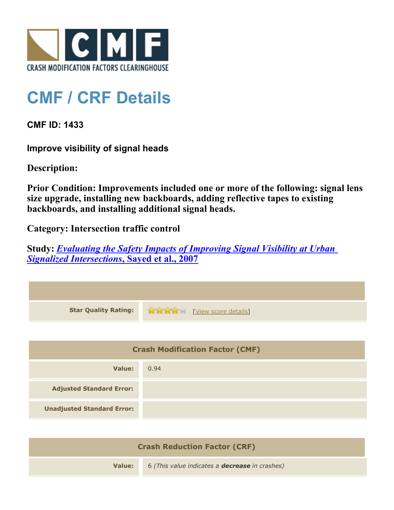

## **CMF / CRF Details**

**CMF ID: 1433**

**Improve visibility of signal heads**

**Description:** 

**Prior Condition: Improvements included one or more of the following: signal lens size upgrade, installing new backboards, adding reflective tapes to existing backboards, and installing additional signal heads.**

**Category: Intersection traffic control**

**Study:** *[Evaluating the Safety Impacts of Improving Signal Visibility at Urban](http://www.cmfclearinghouse.org/study_detail.cfm?stid=83) [Signalized Intersections](http://www.cmfclearinghouse.org/study_detail.cfm?stid=83)***[, Sayed et al., 2007](http://www.cmfclearinghouse.org/study_detail.cfm?stid=83)**



| <b>Crash Reduction Factor (CRF)</b> |                                                       |  |
|-------------------------------------|-------------------------------------------------------|--|
| Value:                              | 6 (This value indicates a <b>decrease</b> in crashes) |  |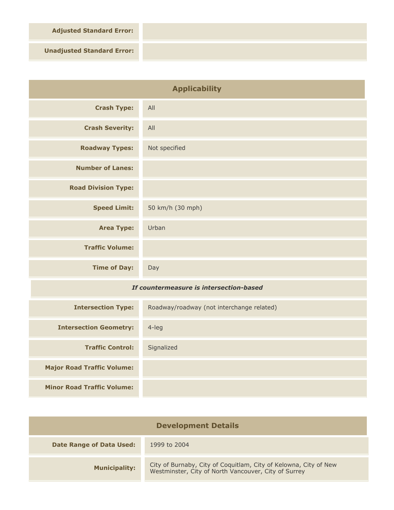**Adjusted Standard Error:**

**Unadjusted Standard Error:**

| <b>Applicability</b>                    |                                           |
|-----------------------------------------|-------------------------------------------|
| <b>Crash Type:</b>                      | All                                       |
| <b>Crash Severity:</b>                  | All                                       |
| <b>Roadway Types:</b>                   | Not specified                             |
| <b>Number of Lanes:</b>                 |                                           |
| <b>Road Division Type:</b>              |                                           |
| <b>Speed Limit:</b>                     | 50 km/h (30 mph)                          |
| <b>Area Type:</b>                       | Urban                                     |
| <b>Traffic Volume:</b>                  |                                           |
| <b>Time of Day:</b>                     | Day                                       |
| If countermeasure is intersection-based |                                           |
| <b>Intersection Type:</b>               | Roadway/roadway (not interchange related) |
| <b>Intersection Geometry:</b>           | $4$ -leg                                  |
| <b>Traffic Control:</b>                 | Signalized                                |
| <b>Major Road Traffic Volume:</b>       |                                           |
| <b>Minor Road Traffic Volume:</b>       |                                           |

| <b>Development Details</b>      |                                                                                                                          |
|---------------------------------|--------------------------------------------------------------------------------------------------------------------------|
| <b>Date Range of Data Used:</b> | 1999 to 2004                                                                                                             |
| <b>Municipality:</b>            | City of Burnaby, City of Coquitlam, City of Kelowna, City of New<br>Westminster, City of North Vancouver, City of Surrey |